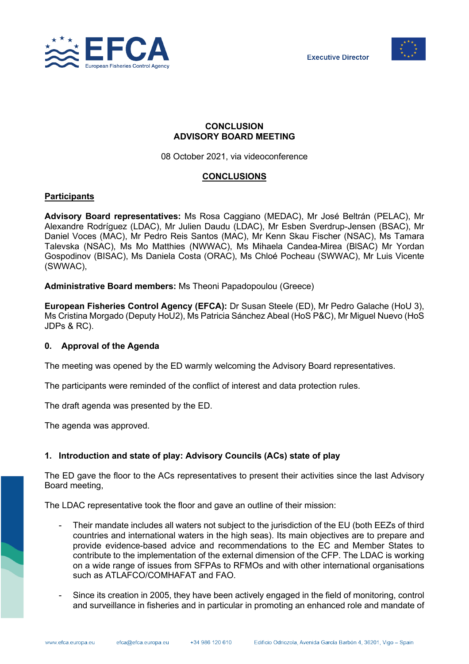



# **CONCLUSION ADVISORY BOARD MEETING**

08 October 2021, via videoconference

# **CONCLUSIONS**

# **Participants**

**Advisory Board representatives:** Ms Rosa Caggiano (MEDAC), Mr José Beltrán (PELAC), Mr Alexandre Rodríguez (LDAC), Mr Julien Daudu (LDAC), Mr Esben Sverdrup-Jensen (BSAC), Mr Daniel Voces (MAC), Mr Pedro Reis Santos (MAC), Mr Kenn Skau Fischer (NSAC), Ms Tamara Talevska (NSAC), Ms Mo Matthies (NWWAC), Ms Mihaela Candea-Mirea (BlSAC) Mr Yordan Gospodinov (BISAC), Ms Daniela Costa (ORAC), Ms Chloé Pocheau (SWWAC), Mr Luis Vicente (SWWAC),

**Administrative Board members:** Ms Theoni Papadopoulou (Greece)

**European Fisheries Control Agency (EFCA):** Dr Susan Steele (ED), Mr Pedro Galache (HoU 3), Ms Cristina Morgado (Deputy HoU2), Ms Patricia Sánchez Abeal (HoS P&C), Mr Miguel Nuevo (HoS JDPs & RC).

# **0. Approval of the Agenda**

The meeting was opened by the ED warmly welcoming the Advisory Board representatives.

The participants were reminded of the conflict of interest and data protection rules.

The draft agenda was presented by the ED.

The agenda was approved.

# **1. Introduction and state of play: Advisory Councils (ACs) state of play**

The ED gave the floor to the ACs representatives to present their activities since the last Advisory Board meeting,

The LDAC representative took the floor and gave an outline of their mission:

- Their mandate includes all waters not subject to the jurisdiction of the EU (both EEZs of third countries and international waters in the high seas). Its main objectives are to prepare and provide evidence-based advice and recommendations to the EC and Member States to contribute to the implementation of the external dimension of the CFP. The LDAC is working on a wide range of issues from SFPAs to RFMOs and with other international organisations such as ATLAFCO/COMHAFAT and FAO.
- Since its creation in 2005, they have been actively engaged in the field of monitoring, control and surveillance in fisheries and in particular in promoting an enhanced role and mandate of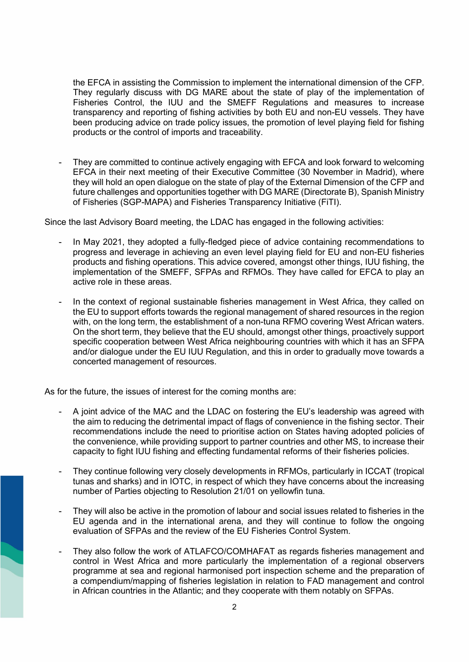the EFCA in assisting the Commission to implement the international dimension of the CFP. They regularly discuss with DG MARE about the state of play of the implementation of Fisheries Control, the IUU and the SMEFF Regulations and measures to increase transparency and reporting of fishing activities by both EU and non-EU vessels. They have been producing advice on trade policy issues, the promotion of level playing field for fishing products or the control of imports and traceability.

They are committed to continue actively engaging with EFCA and look forward to welcoming EFCA in their next meeting of their Executive Committee (30 November in Madrid), where they will hold an open dialogue on the state of play of the External Dimension of the CFP and future challenges and opportunities together with DG MARE (Directorate B), Spanish Ministry of Fisheries (SGP-MAPA) and Fisheries Transparency Initiative (FiTI).

Since the last Advisory Board meeting, the LDAC has engaged in the following activities:

- In May 2021, they adopted a fully-fledged piece of advice containing recommendations to progress and leverage in achieving an even level playing field for EU and non-EU fisheries products and fishing operations. This advice covered, amongst other things, IUU fishing, the implementation of the SMEFF, SFPAs and RFMOs. They have called for EFCA to play an active role in these areas.
- In the context of regional sustainable fisheries management in West Africa, they called on the EU to support efforts towards the regional management of shared resources in the region with, on the long term, the establishment of a non-tuna RFMO covering West African waters. On the short term, they believe that the EU should, amongst other things, proactively support specific cooperation between West Africa neighbouring countries with which it has an SFPA and/or dialogue under the EU IUU Regulation, and this in order to gradually move towards a concerted management of resources.

As for the future, the issues of interest for the coming months are:

- A joint advice of the MAC and the LDAC on fostering the EU's leadership was agreed with the aim to reducing the detrimental impact of flags of convenience in the fishing sector. Their recommendations include the need to prioritise action on States having adopted policies of the convenience, while providing support to partner countries and other MS, to increase their capacity to fight IUU fishing and effecting fundamental reforms of their fisheries policies.
- They continue following very closely developments in RFMOs, particularly in ICCAT (tropical tunas and sharks) and in IOTC, in respect of which they have concerns about the increasing number of Parties objecting to Resolution 21/01 on yellowfin tuna.
- They will also be active in the promotion of labour and social issues related to fisheries in the EU agenda and in the international arena, and they will continue to follow the ongoing evaluation of SFPAs and the review of the EU Fisheries Control System.
- They also follow the work of ATLAFCO/COMHAFAT as regards fisheries management and control in West Africa and more particularly the implementation of a regional observers programme at sea and regional harmonised port inspection scheme and the preparation of a compendium/mapping of fisheries legislation in relation to FAD management and control in African countries in the Atlantic; and they cooperate with them notably on SFPAs.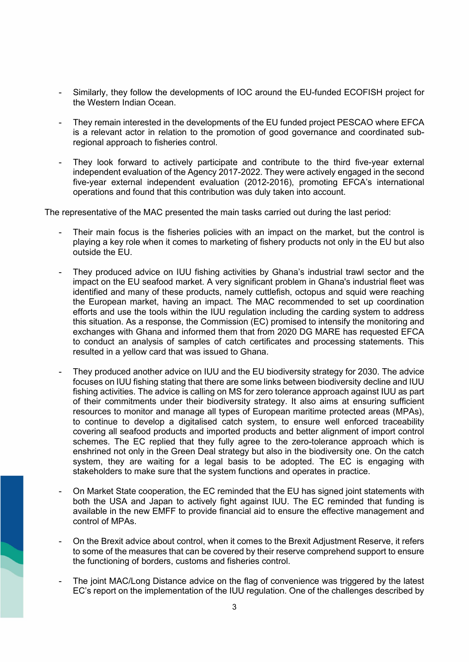- Similarly, they follow the developments of IOC around the EU-funded ECOFISH project for the Western Indian Ocean.
- They remain interested in the developments of the EU funded project PESCAO where EFCA is a relevant actor in relation to the promotion of good governance and coordinated subregional approach to fisheries control.
- They look forward to actively participate and contribute to the third five-year external independent evaluation of the Agency 2017-2022. They were actively engaged in the second five-year external independent evaluation (2012-2016), promoting EFCA's international operations and found that this contribution was duly taken into account.

The representative of the MAC presented the main tasks carried out during the last period:

- Their main focus is the fisheries policies with an impact on the market, but the control is playing a key role when it comes to marketing of fishery products not only in the EU but also outside the EU.
- They produced advice on IUU fishing activities by Ghana's industrial trawl sector and the impact on the EU seafood market. A very significant problem in Ghana's industrial fleet was identified and many of these products, namely cuttlefish, octopus and squid were reaching the European market, having an impact. The MAC recommended to set up coordination efforts and use the tools within the IUU regulation including the carding system to address this situation. As a response, the Commission (EC) promised to intensify the monitoring and exchanges with Ghana and informed them that from 2020 DG MARE has requested EFCA to conduct an analysis of samples of catch certificates and processing statements. This resulted in a yellow card that was issued to Ghana.
- They produced another advice on IUU and the EU biodiversity strategy for 2030. The advice focuses on IUU fishing stating that there are some links between biodiversity decline and IUU fishing activities. The advice is calling on MS for zero tolerance approach against IUU as part of their commitments under their biodiversity strategy. It also aims at ensuring sufficient resources to monitor and manage all types of European maritime protected areas (MPAs), to continue to develop a digitalised catch system, to ensure well enforced traceability covering all seafood products and imported products and better alignment of import control schemes. The EC replied that they fully agree to the zero-tolerance approach which is enshrined not only in the Green Deal strategy but also in the biodiversity one. On the catch system, they are waiting for a legal basis to be adopted. The EC is engaging with stakeholders to make sure that the system functions and operates in practice.
- On Market State cooperation, the EC reminded that the EU has signed joint statements with both the USA and Japan to actively fight against IUU. The EC reminded that funding is available in the new EMFF to provide financial aid to ensure the effective management and control of MPAs.
- On the Brexit advice about control, when it comes to the Brexit Adjustment Reserve, it refers to some of the measures that can be covered by their reserve comprehend support to ensure the functioning of borders, customs and fisheries control.
- The joint MAC/Long Distance advice on the flag of convenience was triggered by the latest EC's report on the implementation of the IUU regulation. One of the challenges described by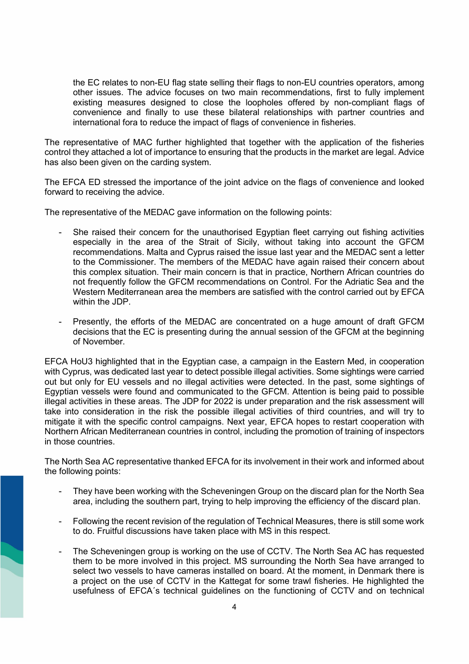the EC relates to non-EU flag state selling their flags to non-EU countries operators, among other issues. The advice focuses on two main recommendations, first to fully implement existing measures designed to close the loopholes offered by non-compliant flags of convenience and finally to use these bilateral relationships with partner countries and international fora to reduce the impact of flags of convenience in fisheries.

The representative of MAC further highlighted that together with the application of the fisheries control they attached a lot of importance to ensuring that the products in the market are legal. Advice has also been given on the carding system.

The EFCA ED stressed the importance of the joint advice on the flags of convenience and looked forward to receiving the advice.

The representative of the MEDAC gave information on the following points:

- She raised their concern for the unauthorised Egyptian fleet carrying out fishing activities especially in the area of the Strait of Sicily, without taking into account the GFCM recommendations. Malta and Cyprus raised the issue last year and the MEDAC sent a letter to the Commissioner. The members of the MEDAC have again raised their concern about this complex situation. Their main concern is that in practice, Northern African countries do not frequently follow the GFCM recommendations on Control. For the Adriatic Sea and the Western Mediterranean area the members are satisfied with the control carried out by EFCA within the JDP.
- Presently, the efforts of the MEDAC are concentrated on a huge amount of draft GFCM decisions that the EC is presenting during the annual session of the GFCM at the beginning of November.

EFCA HoU3 highlighted that in the Egyptian case, a campaign in the Eastern Med, in cooperation with Cyprus, was dedicated last year to detect possible illegal activities. Some sightings were carried out but only for EU vessels and no illegal activities were detected. In the past, some sightings of Egyptian vessels were found and communicated to the GFCM. Attention is being paid to possible illegal activities in these areas. The JDP for 2022 is under preparation and the risk assessment will take into consideration in the risk the possible illegal activities of third countries, and will try to mitigate it with the specific control campaigns. Next year, EFCA hopes to restart cooperation with Northern African Mediterranean countries in control, including the promotion of training of inspectors in those countries.

The North Sea AC representative thanked EFCA for its involvement in their work and informed about the following points:

- They have been working with the Scheveningen Group on the discard plan for the North Sea area, including the southern part, trying to help improving the efficiency of the discard plan.
- Following the recent revision of the regulation of Technical Measures, there is still some work to do. Fruitful discussions have taken place with MS in this respect.
- The Scheveningen group is working on the use of CCTV. The North Sea AC has requested them to be more involved in this project. MS surrounding the North Sea have arranged to select two vessels to have cameras installed on board. At the moment, in Denmark there is a project on the use of CCTV in the Kattegat for some trawl fisheries. He highlighted the usefulness of EFCA´s technical guidelines on the functioning of CCTV and on technical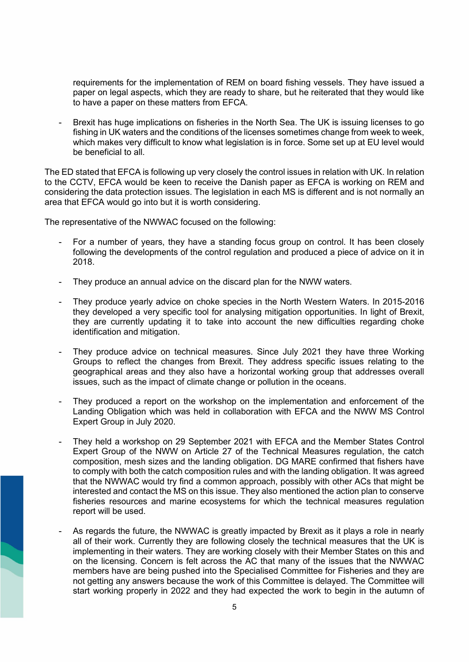requirements for the implementation of REM on board fishing vessels. They have issued a paper on legal aspects, which they are ready to share, but he reiterated that they would like to have a paper on these matters from EFCA.

Brexit has huge implications on fisheries in the North Sea. The UK is issuing licenses to go fishing in UK waters and the conditions of the licenses sometimes change from week to week, which makes very difficult to know what legislation is in force. Some set up at EU level would be beneficial to all.

The ED stated that EFCA is following up very closely the control issues in relation with UK. In relation to the CCTV, EFCA would be keen to receive the Danish paper as EFCA is working on REM and considering the data protection issues. The legislation in each MS is different and is not normally an area that EFCA would go into but it is worth considering.

The representative of the NWWAC focused on the following:

- For a number of years, they have a standing focus group on control. It has been closely following the developments of the control regulation and produced a piece of advice on it in 2018.
- They produce an annual advice on the discard plan for the NWW waters.
- They produce yearly advice on choke species in the North Western Waters. In 2015-2016 they developed a very specific tool for analysing mitigation opportunities. In light of Brexit, they are currently updating it to take into account the new difficulties regarding choke identification and mitigation.
- They produce advice on technical measures. Since July 2021 they have three Working Groups to reflect the changes from Brexit. They address specific issues relating to the geographical areas and they also have a horizontal working group that addresses overall issues, such as the impact of climate change or pollution in the oceans.
- They produced a report on the workshop on the implementation and enforcement of the Landing Obligation which was held in collaboration with EFCA and the NWW MS Control Expert Group in July 2020.
- They held a workshop on 29 September 2021 with EFCA and the Member States Control Expert Group of the NWW on Article 27 of the Technical Measures regulation, the catch composition, mesh sizes and the landing obligation. DG MARE confirmed that fishers have to comply with both the catch composition rules and with the landing obligation. It was agreed that the NWWAC would try find a common approach, possibly with other ACs that might be interested and contact the MS on this issue. They also mentioned the action plan to conserve fisheries resources and marine ecosystems for which the technical measures regulation report will be used.
- As regards the future, the NWWAC is greatly impacted by Brexit as it plays a role in nearly all of their work. Currently they are following closely the technical measures that the UK is implementing in their waters. They are working closely with their Member States on this and on the licensing. Concern is felt across the AC that many of the issues that the NWWAC members have are being pushed into the Specialised Committee for Fisheries and they are not getting any answers because the work of this Committee is delayed. The Committee will start working properly in 2022 and they had expected the work to begin in the autumn of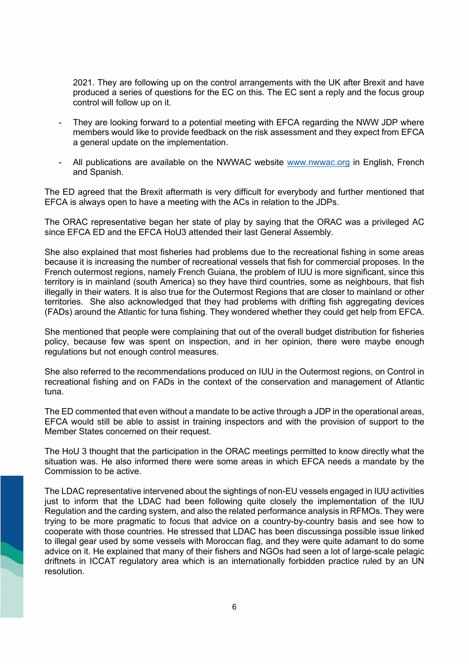2021. They are following up on the control arrangements with the UK after Brexit and have produced a series of questions for the EC on this. The EC sent a reply and the focus group control will follow up on it.

- They are looking forward to a potential meeting with EFCA regarding the NWW JDP where members would like to provide feedback on the risk assessment and they expect from EFCA a general update on the implementation.
- All publications are available on the NWWAC website [www.nwwac.org](http://www.nwwac.org/) in English, French and Spanish.

The ED agreed that the Brexit aftermath is very difficult for everybody and further mentioned that EFCA is always open to have a meeting with the ACs in relation to the JDPs.

The ORAC representative began her state of play by saying that the ORAC was a privileged AC since EFCA ED and the EFCA HoU3 attended their last General Assembly.

She also explained that most fisheries had problems due to the recreational fishing in some areas because it is increasing the number of recreational vessels that fish for commercial proposes. In the French outermost regions, namely French Guiana, the problem of IUU is more significant, since this territory is in mainland (south America) so they have third countries, some as neighbours, that fish illegally in their waters. It is also true for the Outermost Regions that are closer to mainland or other territories. She also acknowledged that they had problems with drifting fish aggregating devices (FADs) around the Atlantic for tuna fishing. They wondered whether they could get help from EFCA.

She mentioned that people were complaining that out of the overall budget distribution for fisheries policy, because few was spent on inspection, and in her opinion, there were maybe enough regulations but not enough control measures.

She also referred to the recommendations produced on IUU in the Outermost regions, on Control in recreational fishing and on FADs in the context of the conservation and management of Atlantic tuna.

The ED commented that even without a mandate to be active through a JDP in the operational areas, EFCA would still be able to assist in training inspectors and with the provision of support to the Member States concerned on their request.

The HoU 3 thought that the participation in the ORAC meetings permitted to know directly what the situation was. He also informed there were some areas in which EFCA needs a mandate by the Commission to be active.

The LDAC representative intervened about the sightings of non-EU vessels engaged in IUU activities just to inform that the LDAC had been following quite closely the implementation of the IUU Regulation and the carding system, and also the related performance analysis in RFMOs. They were trying to be more pragmatic to focus that advice on a country-by-country basis and see how to cooperate with those countries. He stressed that LDAC has been discussinga possible issue linked to illegal gear used by some vessels with Moroccan flag, and they were quite adamant to do some advice on it. He explained that many of their fishers and NGOs had seen a lot of large-scale pelagic driftnets in ICCAT regulatory area which is an internationally forbidden practice ruled by an UN resolution.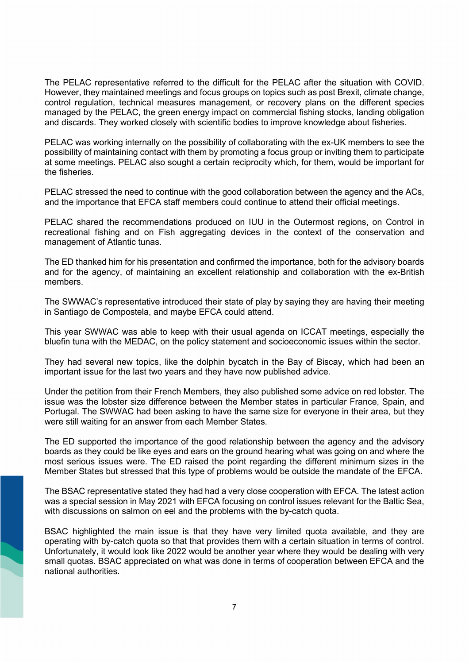The PELAC representative referred to the difficult for the PELAC after the situation with COVID. However, they maintained meetings and focus groups on topics such as post Brexit, climate change, control regulation, technical measures management, or recovery plans on the different species managed by the PELAC, the green energy impact on commercial fishing stocks, landing obligation and discards. They worked closely with scientific bodies to improve knowledge about fisheries.

PELAC was working internally on the possibility of collaborating with the ex-UK members to see the possibility of maintaining contact with them by promoting a focus group or inviting them to participate at some meetings. PELAC also sought a certain reciprocity which, for them, would be important for the fisheries.

PELAC stressed the need to continue with the good collaboration between the agency and the ACs, and the importance that EFCA staff members could continue to attend their official meetings.

PELAC shared the recommendations produced on IUU in the Outermost regions, on Control in recreational fishing and on Fish aggregating devices in the context of the conservation and management of Atlantic tunas.

The ED thanked him for his presentation and confirmed the importance, both for the advisory boards and for the agency, of maintaining an excellent relationship and collaboration with the ex-British members.

The SWWAC's representative introduced their state of play by saying they are having their meeting in Santiago de Compostela, and maybe EFCA could attend.

This year SWWAC was able to keep with their usual agenda on ICCAT meetings, especially the bluefin tuna with the MEDAC, on the policy statement and socioeconomic issues within the sector.

They had several new topics, like the dolphin bycatch in the Bay of Biscay, which had been an important issue for the last two years and they have now published advice.

Under the petition from their French Members, they also published some advice on red lobster. The issue was the lobster size difference between the Member states in particular France, Spain, and Portugal. The SWWAC had been asking to have the same size for everyone in their area, but they were still waiting for an answer from each Member States.

The ED supported the importance of the good relationship between the agency and the advisory boards as they could be like eyes and ears on the ground hearing what was going on and where the most serious issues were. The ED raised the point regarding the different minimum sizes in the Member States but stressed that this type of problems would be outside the mandate of the EFCA.

The BSAC representative stated they had had a very close cooperation with EFCA. The latest action was a special session in May 2021 with EFCA focusing on control issues relevant for the Baltic Sea, with discussions on salmon on eel and the problems with the by-catch quota.

BSAC highlighted the main issue is that they have very limited quota available, and they are operating with by-catch quota so that that provides them with a certain situation in terms of control. Unfortunately, it would look like 2022 would be another year where they would be dealing with very small quotas. BSAC appreciated on what was done in terms of cooperation between EFCA and the national authorities.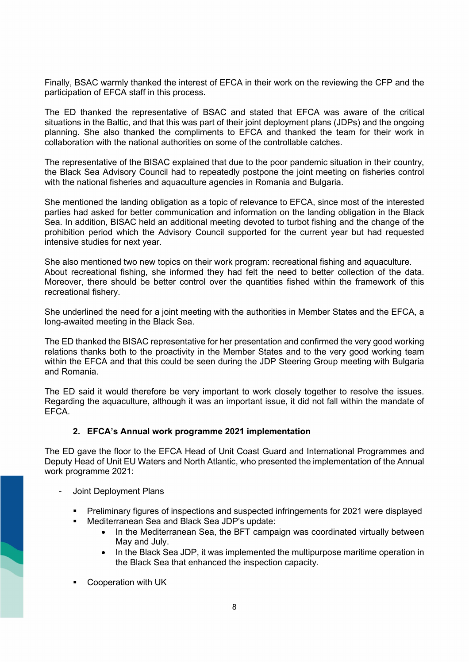Finally, BSAC warmly thanked the interest of EFCA in their work on the reviewing the CFP and the participation of EFCA staff in this process.

The ED thanked the representative of BSAC and stated that EFCA was aware of the critical situations in the Baltic, and that this was part of their joint deployment plans (JDPs) and the ongoing planning. She also thanked the compliments to EFCA and thanked the team for their work in collaboration with the national authorities on some of the controllable catches.

The representative of the BISAC explained that due to the poor pandemic situation in their country, the Black Sea Advisory Council had to repeatedly postpone the joint meeting on fisheries control with the national fisheries and aquaculture agencies in Romania and Bulgaria.

She mentioned the landing obligation as a topic of relevance to EFCA, since most of the interested parties had asked for better communication and information on the landing obligation in the Black Sea. In addition, BISAC held an additional meeting devoted to turbot fishing and the change of the prohibition period which the Advisory Council supported for the current year but had requested intensive studies for next year.

She also mentioned two new topics on their work program: recreational fishing and aquaculture. About recreational fishing, she informed they had felt the need to better collection of the data. Moreover, there should be better control over the quantities fished within the framework of this recreational fishery.

She underlined the need for a joint meeting with the authorities in Member States and the EFCA, a long-awaited meeting in the Black Sea.

The ED thanked the BISAC representative for her presentation and confirmed the very good working relations thanks both to the proactivity in the Member States and to the very good working team within the EFCA and that this could be seen during the JDP Steering Group meeting with Bulgaria and Romania.

The ED said it would therefore be very important to work closely together to resolve the issues. Regarding the aquaculture, although it was an important issue, it did not fall within the mandate of EFCA.

# **2. EFCA's Annual work programme 2021 implementation**

The ED gave the floor to the EFCA Head of Unit Coast Guard and International Programmes and Deputy Head of Unit EU Waters and North Atlantic, who presented the implementation of the Annual work programme 2021:

- Joint Deployment Plans
	- Preliminary figures of inspections and suspected infringements for 2021 were displayed
		- Mediterranean Sea and Black Sea JDP's update:
			- In the Mediterranean Sea, the BFT campaign was coordinated virtually between May and July.
			- In the Black Sea JDP, it was implemented the multipurpose maritime operation in the Black Sea that enhanced the inspection capacity.
	- Cooperation with UK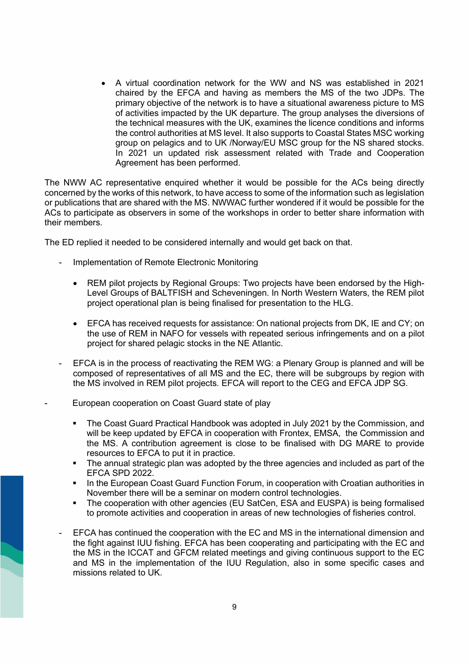• A virtual coordination network for the WW and NS was established in 2021 chaired by the EFCA and having as members the MS of the two JDPs. The primary objective of the network is to have a situational awareness picture to MS of activities impacted by the UK departure. The group analyses the diversions of the technical measures with the UK, examines the licence conditions and informs the control authorities at MS level. It also supports to Coastal States MSC working group on pelagics and to UK /Norway/EU MSC group for the NS shared stocks. In 2021 un updated risk assessment related with Trade and Cooperation Agreement has been performed.

The NWW AC representative enquired whether it would be possible for the ACs being directly concerned by the works of this network, to have access to some of the information such as legislation or publications that are shared with the MS. NWWAC further wondered if it would be possible for the ACs to participate as observers in some of the workshops in order to better share information with their members.

The ED replied it needed to be considered internally and would get back on that.

- Implementation of Remote Electronic Monitoring
	- REM pilot projects by Regional Groups: Two projects have been endorsed by the High-Level Groups of BALTFISH and Scheveningen. In North Western Waters, the REM pilot project operational plan is being finalised for presentation to the HLG.
	- EFCA has received requests for assistance: On national projects from DK, IE and CY; on the use of REM in NAFO for vessels with repeated serious infringements and on a pilot project for shared pelagic stocks in the NE Atlantic.
- EFCA is in the process of reactivating the REM WG: a Plenary Group is planned and will be composed of representatives of all MS and the EC, there will be subgroups by region with the MS involved in REM pilot projects. EFCA will report to the CEG and EFCA JDP SG.
- European cooperation on Coast Guard state of play
	- The Coast Guard Practical Handbook was adopted in July 2021 by the Commission, and will be keep updated by EFCA in cooperation with Frontex, EMSA, the Commission and the MS. A contribution agreement is close to be finalised with DG MARE to provide resources to EFCA to put it in practice.
	- The annual strategic plan was adopted by the three agencies and included as part of the EFCA SPD 2022.
	- In the European Coast Guard Function Forum, in cooperation with Croatian authorities in November there will be a seminar on modern control technologies.
	- The cooperation with other agencies (EU SatCen, ESA and EUSPA) is being formalised to promote activities and cooperation in areas of new technologies of fisheries control.
	- EFCA has continued the cooperation with the EC and MS in the international dimension and the fight against IUU fishing. EFCA has been cooperating and participating with the EC and the MS in the ICCAT and GFCM related meetings and giving continuous support to the EC and MS in the implementation of the IUU Regulation, also in some specific cases and missions related to UK.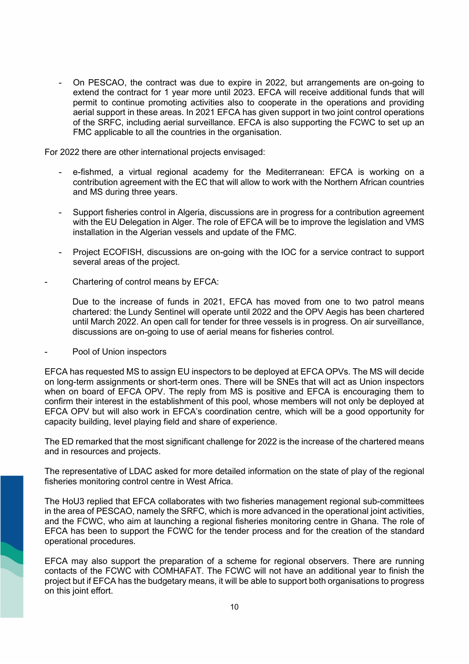- On PESCAO, the contract was due to expire in 2022, but arrangements are on-going to extend the contract for 1 year more until 2023. EFCA will receive additional funds that will permit to continue promoting activities also to cooperate in the operations and providing aerial support in these areas. In 2021 EFCA has given support in two joint control operations of the SRFC, including aerial surveillance. EFCA is also supporting the FCWC to set up an FMC applicable to all the countries in the organisation.

For 2022 there are other international projects envisaged:

- e-fishmed, a virtual regional academy for the Mediterranean: EFCA is working on a contribution agreement with the EC that will allow to work with the Northern African countries and MS during three years.
- Support fisheries control in Algeria, discussions are in progress for a contribution agreement with the EU Delegation in Alger. The role of EFCA will be to improve the legislation and VMS installation in the Algerian vessels and update of the FMC.
- Project ECOFISH, discussions are on-going with the IOC for a service contract to support several areas of the project.
- Chartering of control means by EFCA:

Due to the increase of funds in 2021, EFCA has moved from one to two patrol means chartered: the Lundy Sentinel will operate until 2022 and the OPV Aegis has been chartered until March 2022. An open call for tender for three vessels is in progress. On air surveillance, discussions are on-going to use of aerial means for fisheries control.

Pool of Union inspectors

EFCA has requested MS to assign EU inspectors to be deployed at EFCA OPVs. The MS will decide on long-term assignments or short-term ones. There will be SNEs that will act as Union inspectors when on board of EFCA OPV. The reply from MS is positive and EFCA is encouraging them to confirm their interest in the establishment of this pool, whose members will not only be deployed at EFCA OPV but will also work in EFCA's coordination centre, which will be a good opportunity for capacity building, level playing field and share of experience.

The ED remarked that the most significant challenge for 2022 is the increase of the chartered means and in resources and projects.

The representative of LDAC asked for more detailed information on the state of play of the regional fisheries monitoring control centre in West Africa.

The HoU3 replied that EFCA collaborates with two fisheries management regional sub-committees in the area of PESCAO, namely the SRFC, which is more advanced in the operational joint activities, and the FCWC, who aim at launching a regional fisheries monitoring centre in Ghana. The role of EFCA has been to support the FCWC for the tender process and for the creation of the standard operational procedures.

EFCA may also support the preparation of a scheme for regional observers. There are running contacts of the FCWC with COMHAFAT. The FCWC will not have an additional year to finish the project but if EFCA has the budgetary means, it will be able to support both organisations to progress on this joint effort.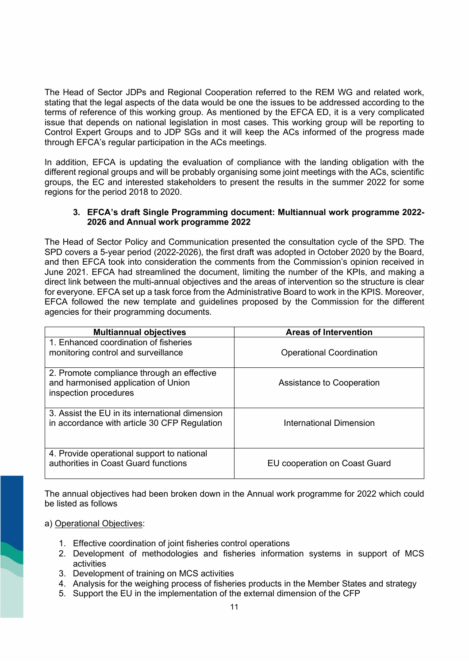The Head of Sector JDPs and Regional Cooperation referred to the REM WG and related work, stating that the legal aspects of the data would be one the issues to be addressed according to the terms of reference of this working group. As mentioned by the EFCA ED, it is a very complicated issue that depends on national legislation in most cases. This working group will be reporting to Control Expert Groups and to JDP SGs and it will keep the ACs informed of the progress made through EFCA's regular participation in the ACs meetings.

In addition, EFCA is updating the evaluation of compliance with the landing obligation with the different regional groups and will be probably organising some joint meetings with the ACs, scientific groups, the EC and interested stakeholders to present the results in the summer 2022 for some regions for the period 2018 to 2020.

### **3. EFCA's draft Single Programming document: Multiannual work programme 2022- 2026 and Annual work programme 2022**

The Head of Sector Policy and Communication presented the consultation cycle of the SPD. The SPD covers a 5-year period (2022-2026), the first draft was adopted in October 2020 by the Board, and then EFCA took into consideration the comments from the Commission's opinion received in June 2021. EFCA had streamlined the document, limiting the number of the KPIs, and making a direct link between the multi-annual objectives and the areas of intervention so the structure is clear for everyone. EFCA set up a task force from the Administrative Board to work in the KPIS. Moreover, EFCA followed the new template and guidelines proposed by the Commission for the different agencies for their programming documents.

| <b>Multiannual objectives</b>                                                                              | <b>Areas of Intervention</b>    |
|------------------------------------------------------------------------------------------------------------|---------------------------------|
| 1. Enhanced coordination of fisheries<br>monitoring control and surveillance                               | <b>Operational Coordination</b> |
| 2. Promote compliance through an effective<br>and harmonised application of Union<br>inspection procedures | Assistance to Cooperation       |
| 3. Assist the EU in its international dimension<br>in accordance with article 30 CFP Regulation            | International Dimension         |
| 4. Provide operational support to national<br>authorities in Coast Guard functions                         | EU cooperation on Coast Guard   |

The annual objectives had been broken down in the Annual work programme for 2022 which could be listed as follows

#### a) Operational Objectives:

- 1. Effective coordination of joint fisheries control operations
- 2. Development of methodologies and fisheries information systems in support of MCS activities
- 3. Development of training on MCS activities
- 4. Analysis for the weighing process of fisheries products in the Member States and strategy
- 5. Support the EU in the implementation of the external dimension of the CFP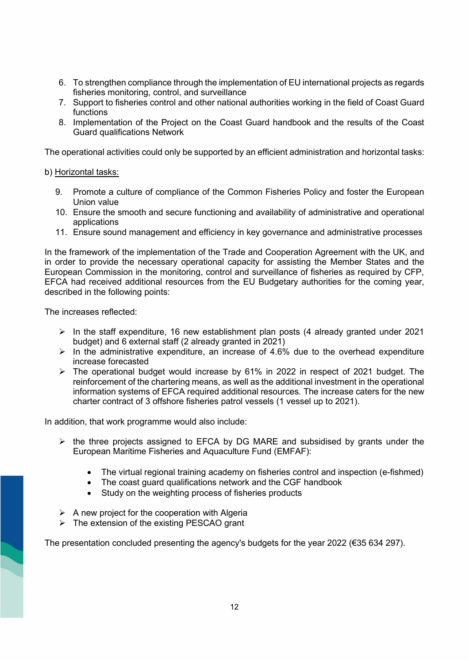- 6. To strengthen compliance through the implementation of EU international projects as regards fisheries monitoring, control, and surveillance
- 7. Support to fisheries control and other national authorities working in the field of Coast Guard functions
- 8. Implementation of the Project on the Coast Guard handbook and the results of the Coast Guard qualifications Network

The operational activities could only be supported by an efficient administration and horizontal tasks:

#### b) Horizontal tasks:

- 9. Promote a culture of compliance of the Common Fisheries Policy and foster the European Union value
- 10. Ensure the smooth and secure functioning and availability of administrative and operational applications
- 11. Ensure sound management and efficiency in key governance and administrative processes

In the framework of the implementation of the Trade and Cooperation Agreement with the UK, and in order to provide the necessary operational capacity for assisting the Member States and the European Commission in the monitoring, control and surveillance of fisheries as required by CFP, EFCA had received additional resources from the EU Budgetary authorities for the coming year, described in the following points:

The increases reflected:

- $\triangleright$  In the staff expenditure, 16 new establishment plan posts (4 already granted under 2021 budget) and 6 external staff (2 already granted in 2021)
- $\triangleright$  In the administrative expenditure, an increase of 4.6% due to the overhead expenditure increase forecasted
- $\triangleright$  The operational budget would increase by 61% in 2022 in respect of 2021 budget. The reinforcement of the chartering means, as well as the additional investment in the operational information systems of EFCA required additional resources. The increase caters for the new charter contract of 3 offshore fisheries patrol vessels (1 vessel up to 2021).

In addition, that work programme would also include:

- $\triangleright$  the three projects assigned to EFCA by DG MARE and subsidised by grants under the European Maritime Fisheries and Aquaculture Fund (EMFAF):
	- The virtual regional training academy on fisheries control and inspection (e-fishmed)
	- The coast guard qualifications network and the CGF handbook
	- Study on the weighting process of fisheries products
- $\triangleright$  A new project for the cooperation with Algeria
- $\triangleright$  The extension of the existing PESCAO grant

The presentation concluded presenting the agency's budgets for the year 2022 (€35 634 297).